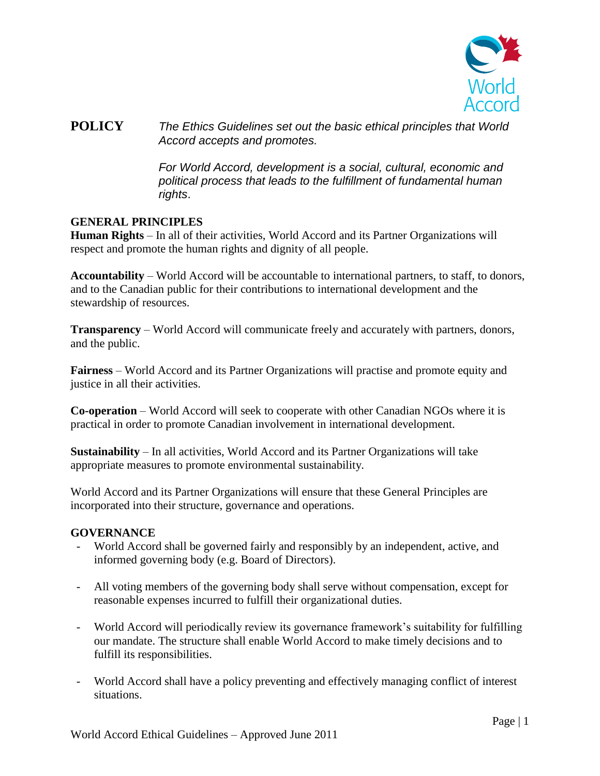

**POLICY** *The Ethics Guidelines set out the basic ethical principles that World Accord accepts and promotes.*

> *For World Accord, development is a social, cultural, economic and political process that leads to the fulfillment of fundamental human rights*.

## **GENERAL PRINCIPLES**

**Human Rights** – In all of their activities, World Accord and its Partner Organizations will respect and promote the human rights and dignity of all people.

**Accountability** – World Accord will be accountable to international partners, to staff, to donors, and to the Canadian public for their contributions to international development and the stewardship of resources.

**Transparency** – World Accord will communicate freely and accurately with partners, donors, and the public.

**Fairness** – World Accord and its Partner Organizations will practise and promote equity and justice in all their activities.

**Co-operation** – World Accord will seek to cooperate with other Canadian NGOs where it is practical in order to promote Canadian involvement in international development.

**Sustainability** – In all activities, World Accord and its Partner Organizations will take appropriate measures to promote environmental sustainability.

World Accord and its Partner Organizations will ensure that these General Principles are incorporated into their structure, governance and operations.

#### **GOVERNANCE**

- World Accord shall be governed fairly and responsibly by an independent, active, and informed governing body (e.g. Board of Directors).
- All voting members of the governing body shall serve without compensation, except for reasonable expenses incurred to fulfill their organizational duties.
- World Accord will periodically review its governance framework's suitability for fulfilling our mandate. The structure shall enable World Accord to make timely decisions and to fulfill its responsibilities.
- World Accord shall have a policy preventing and effectively managing conflict of interest situations.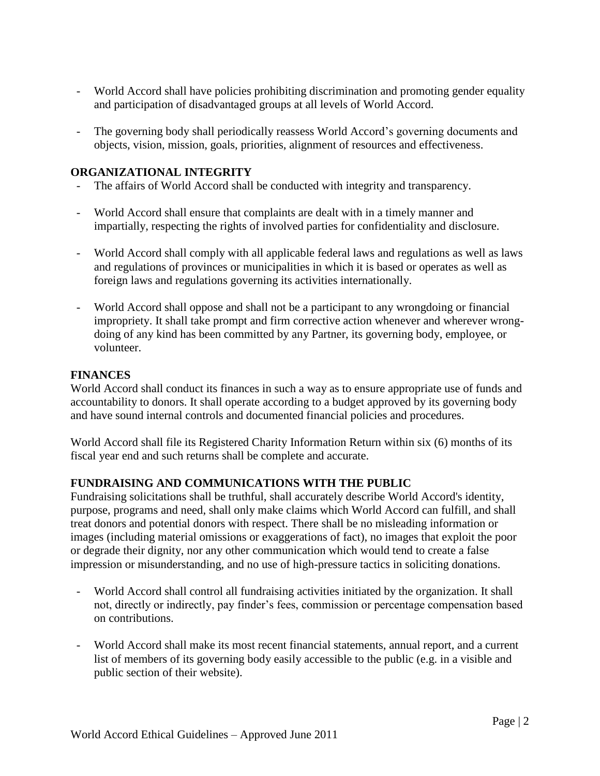- World Accord shall have policies prohibiting discrimination and promoting gender equality and participation of disadvantaged groups at all levels of World Accord.
- The governing body shall periodically reassess World Accord's governing documents and objects, vision, mission, goals, priorities, alignment of resources and effectiveness.

# **ORGANIZATIONAL INTEGRITY**

- The affairs of World Accord shall be conducted with integrity and transparency.
- World Accord shall ensure that complaints are dealt with in a timely manner and impartially, respecting the rights of involved parties for confidentiality and disclosure.
- World Accord shall comply with all applicable federal laws and regulations as well as laws and regulations of provinces or municipalities in which it is based or operates as well as foreign laws and regulations governing its activities internationally.
- World Accord shall oppose and shall not be a participant to any wrongdoing or financial impropriety. It shall take prompt and firm corrective action whenever and wherever wrongdoing of any kind has been committed by any Partner, its governing body, employee, or volunteer.

## **FINANCES**

World Accord shall conduct its finances in such a way as to ensure appropriate use of funds and accountability to donors. It shall operate according to a budget approved by its governing body and have sound internal controls and documented financial policies and procedures.

World Accord shall file its Registered Charity Information Return within six (6) months of its fiscal year end and such returns shall be complete and accurate.

## **FUNDRAISING AND COMMUNICATIONS WITH THE PUBLIC**

Fundraising solicitations shall be truthful, shall accurately describe World Accord's identity, purpose, programs and need, shall only make claims which World Accord can fulfill, and shall treat donors and potential donors with respect. There shall be no misleading information or images (including material omissions or exaggerations of fact), no images that exploit the poor or degrade their dignity, nor any other communication which would tend to create a false impression or misunderstanding, and no use of high-pressure tactics in soliciting donations.

- World Accord shall control all fundraising activities initiated by the organization. It shall not, directly or indirectly, pay finder's fees, commission or percentage compensation based on contributions.
- World Accord shall make its most recent financial statements, annual report, and a current list of members of its governing body easily accessible to the public (e.g. in a visible and public section of their website).